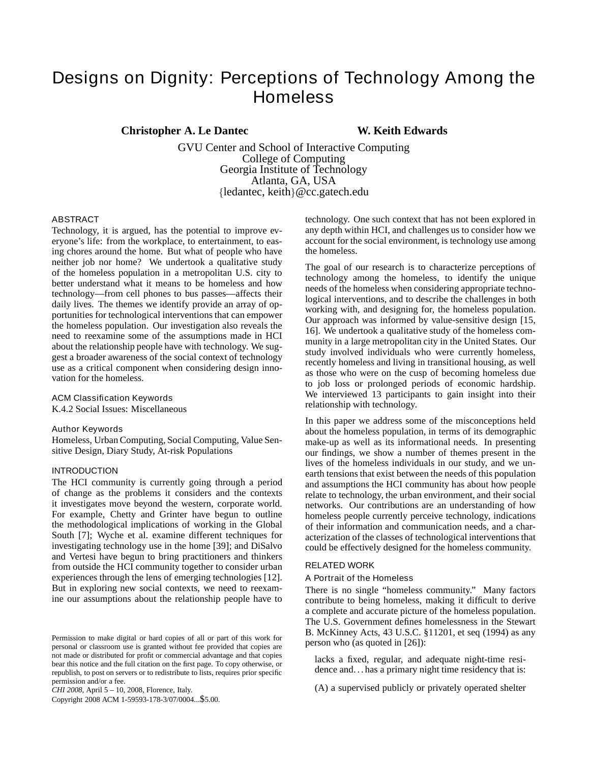# **Designs on Dignity: Perceptions of Technology Among the Homeless**

**Christopher A. Le Dantec W. Keith Edwards** 

GVU Center and School of Interactive Computing College of Computing Georgia Institute of Technology Atlanta, GA, USA *{*ledantec, keith*}*@cc.gatech.edu

## **ABSTRACT**

Technology, it is argued, has the potential to improve everyone's life: from the workplace, to entertainment, to easing chores around the home. But what of people who have neither job nor home? We undertook a qualitative study of the homeless population in a metropolitan U.S. city to better understand what it means to be homeless and how technology—from cell phones to bus passes—affects their daily lives. The themes we identify provide an array of opportunities for technological interventions that can empower the homeless population. Our investigation also reveals the need to reexamine some of the assumptions made in HCI about the relationship people have with technology. We suggest a broader awareness of the social context of technology use as a critical component when considering design innovation for the homeless.

#### **ACM Classification Keywords**

K.4.2 Social Issues: Miscellaneous

#### **Author Keywords**

Homeless, Urban Computing, Social Computing, Value Sensitive Design, Diary Study, At-risk Populations

# **INTRODUCTION**

The HCI community is currently going through a period of change as the problems it considers and the contexts it investigates move beyond the western, corporate world. For example, Chetty and Grinter have begun to outline the methodological implications of working in the Global South [7]; Wyche et al. examine different techniques for investigating technology use in the home [39]; and DiSalvo and Vertesi have begun to bring practitioners and thinkers from outside the HCI community together to consider urban experiences through the lens of emerging technologies [12]. But in exploring new social contexts, we need to reexamine our assumptions about the relationship people have to

*CHI 2008*, April 5 – 10, 2008, Florence, Italy.

Copyright 2008 ACM 1-59593-178-3/07/0004...\$5.00.

technology. One such context that has not been explored in any depth within HCI, and challenges us to consider how we account for the social environment, is technology use among the homeless.

The goal of our research is to characterize perceptions of technology among the homeless, to identify the unique needs of the homeless when considering appropriate technological interventions, and to describe the challenges in both working with, and designing for, the homeless population. Our approach was informed by value-sensitive design [15, 16]. We undertook a qualitative study of the homeless community in a large metropolitan city in the United States. Our study involved individuals who were currently homeless, recently homeless and living in transitional housing, as well as those who were on the cusp of becoming homeless due to job loss or prolonged periods of economic hardship. We interviewed 13 participants to gain insight into their relationship with technology.

In this paper we address some of the misconceptions held about the homeless population, in terms of its demographic make-up as well as its informational needs. In presenting our findings, we show a number of themes present in the lives of the homeless individuals in our study, and we unearth tensions that exist between the needs of this population and assumptions the HCI community has about how people relate to technology, the urban environment, and their social networks. Our contributions are an understanding of how homeless people currently perceive technology, indications of their information and communication needs, and a characterization of the classes of technological interventions that could be effectively designed for the homeless community.

#### **RELATED WORK**

#### **A Portrait of the Homeless**

There is no single "homeless community." Many factors contribute to being homeless, making it difficult to derive a complete and accurate picture of the homeless population. The U.S. Government defines homelessness in the Stewart B. McKinney Acts, 43 U.S.C. §11201, et seq (1994) as any person who (as quoted in [26]):

lacks a fixed, regular, and adequate night-time residence and. . . has a primary night time residency that is:

(A) a supervised publicly or privately operated shelter

Permission to make digital or hard copies of all or part of this work for personal or classroom use is granted without fee provided that copies are not made or distributed for profit or commercial advantage and that copies bear this notice and the full citation on the first page. To copy otherwise, or republish, to post on servers or to redistribute to lists, requires prior specific permission and/or a fee.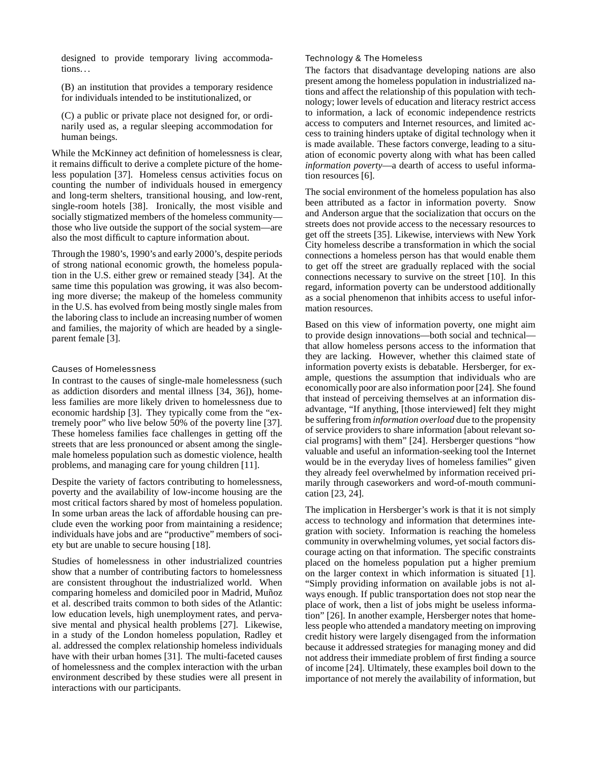designed to provide temporary living accommodations. . .

(B) an institution that provides a temporary residence for individuals intended to be institutionalized, or

(C) a public or private place not designed for, or ordinarily used as, a regular sleeping accommodation for human beings.

While the McKinney act definition of homelessness is clear, it remains difficult to derive a complete picture of the homeless population [37]. Homeless census activities focus on counting the number of individuals housed in emergency and long-term shelters, transitional housing, and low-rent, single-room hotels [38]. Ironically, the most visible and socially stigmatized members of the homeless community those who live outside the support of the social system—are also the most difficult to capture information about.

Through the 1980's, 1990's and early 2000's, despite periods of strong national economic growth, the homeless population in the U.S. either grew or remained steady [34]. At the same time this population was growing, it was also becoming more diverse; the makeup of the homeless community in the U.S. has evolved from being mostly single males from the laboring class to include an increasing number of women and families, the majority of which are headed by a singleparent female [3].

#### **Causes of Homelessness**

In contrast to the causes of single-male homelessness (such as addiction disorders and mental illness [34, 36]), homeless families are more likely driven to homelessness due to economic hardship [3]. They typically come from the "extremely poor" who live below 50% of the poverty line [37]. These homeless families face challenges in getting off the streets that are less pronounced or absent among the singlemale homeless population such as domestic violence, health problems, and managing care for young children [11].

Despite the variety of factors contributing to homelessness, poverty and the availability of low-income housing are the most critical factors shared by most of homeless population. In some urban areas the lack of affordable housing can preclude even the working poor from maintaining a residence; individuals have jobs and are "productive" members of society but are unable to secure housing [18].

Studies of homelessness in other industrialized countries show that a number of contributing factors to homelessness are consistent throughout the industrialized world. When comparing homeless and domiciled poor in Madrid, Muñoz et al. described traits common to both sides of the Atlantic: low education levels, high unemployment rates, and pervasive mental and physical health problems [27]. Likewise, in a study of the London homeless population, Radley et al. addressed the complex relationship homeless individuals have with their urban homes [31]. The multi-faceted causes of homelessness and the complex interaction with the urban environment described by these studies were all present in interactions with our participants.

# **Technology & The Homeless**

The factors that disadvantage developing nations are also present among the homeless population in industrialized nations and affect the relationship of this population with technology; lower levels of education and literacy restrict access to information, a lack of economic independence restricts access to computers and Internet resources, and limited access to training hinders uptake of digital technology when it is made available. These factors converge, leading to a situation of economic poverty along with what has been called *information poverty*—a dearth of access to useful information resources [6].

The social environment of the homeless population has also been attributed as a factor in information poverty. Snow and Anderson argue that the socialization that occurs on the streets does not provide access to the necessary resources to get off the streets [35]. Likewise, interviews with New York City homeless describe a transformation in which the social connections a homeless person has that would enable them to get off the street are gradually replaced with the social connections necessary to survive on the street [10]. In this regard, information poverty can be understood additionally as a social phenomenon that inhibits access to useful information resources.

Based on this view of information poverty, one might aim to provide design innovations—both social and technical that allow homeless persons access to the information that they are lacking. However, whether this claimed state of information poverty exists is debatable. Hersberger, for example, questions the assumption that individuals who are economically poor are also information poor [24]. She found that instead of perceiving themselves at an information disadvantage, "If anything, [those interviewed] felt they might be suffering from *information overload* due to the propensity of service providers to share information [about relevant social programs] with them" [24]. Hersberger questions "how valuable and useful an information-seeking tool the Internet would be in the everyday lives of homeless families" given they already feel overwhelmed by information received primarily through caseworkers and word-of-mouth communication [23, 24].

The implication in Hersberger's work is that it is not simply access to technology and information that determines integration with society. Information is reaching the homeless community in overwhelming volumes, yet social factors discourage acting on that information. The specific constraints placed on the homeless population put a higher premium on the larger context in which information is situated [1]. "Simply providing information on available jobs is not always enough. If public transportation does not stop near the place of work, then a list of jobs might be useless information" [26]. In another example, Hersberger notes that homeless people who attended a mandatory meeting on improving credit history were largely disengaged from the information because it addressed strategies for managing money and did not address their immediate problem of first finding a source of income [24]. Ultimately, these examples boil down to the importance of not merely the availability of information, but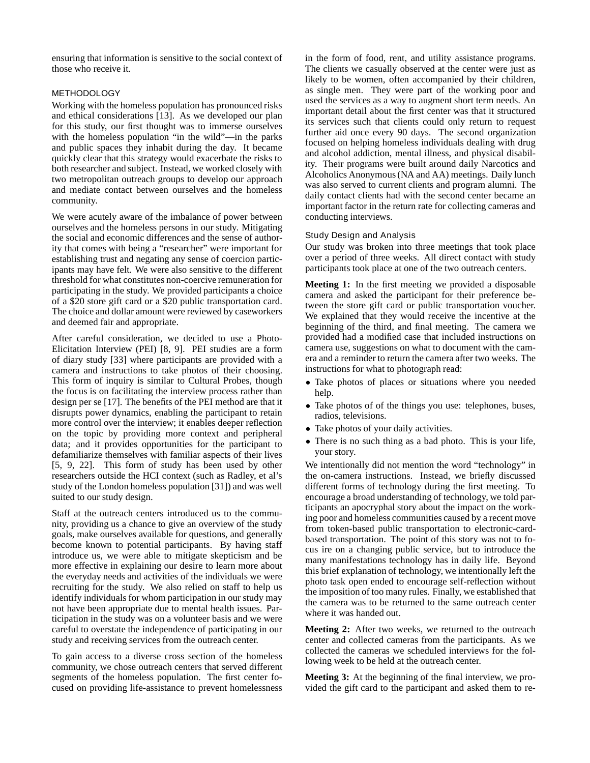ensuring that information is sensitive to the social context of those who receive it.

# **METHODOLOGY**

Working with the homeless population has pronounced risks and ethical considerations [13]. As we developed our plan for this study, our first thought was to immerse ourselves with the homeless population "in the wild"—in the parks and public spaces they inhabit during the day. It became quickly clear that this strategy would exacerbate the risks to both researcher and subject. Instead, we worked closely with two metropolitan outreach groups to develop our approach and mediate contact between ourselves and the homeless community.

We were acutely aware of the imbalance of power between ourselves and the homeless persons in our study. Mitigating the social and economic differences and the sense of authority that comes with being a "researcher" were important for establishing trust and negating any sense of coercion participants may have felt. We were also sensitive to the different threshold for what constitutes non-coercive remuneration for participating in the study. We provided participants a choice of a \$20 store gift card or a \$20 public transportation card. The choice and dollar amount were reviewed by caseworkers and deemed fair and appropriate.

After careful consideration, we decided to use a Photo-Elicitation Interview (PEI) [8, 9]. PEI studies are a form of diary study [33] where participants are provided with a camera and instructions to take photos of their choosing. This form of inquiry is similar to Cultural Probes, though the focus is on facilitating the interview process rather than design per se [17]. The benefits of the PEI method are that it disrupts power dynamics, enabling the participant to retain more control over the interview; it enables deeper reflection on the topic by providing more context and peripheral data; and it provides opportunities for the participant to defamiliarize themselves with familiar aspects of their lives [5, 9, 22]. This form of study has been used by other researchers outside the HCI context (such as Radley, et al's study of the London homeless population [31]) and was well suited to our study design.

Staff at the outreach centers introduced us to the community, providing us a chance to give an overview of the study goals, make ourselves available for questions, and generally become known to potential participants. By having staff introduce us, we were able to mitigate skepticism and be more effective in explaining our desire to learn more about the everyday needs and activities of the individuals we were recruiting for the study. We also relied on staff to help us identify individuals for whom participation in our study may not have been appropriate due to mental health issues. Participation in the study was on a volunteer basis and we were careful to overstate the independence of participating in our study and receiving services from the outreach center.

To gain access to a diverse cross section of the homeless community, we chose outreach centers that served different segments of the homeless population. The first center focused on providing life-assistance to prevent homelessness in the form of food, rent, and utility assistance programs. The clients we casually observed at the center were just as likely to be women, often accompanied by their children, as single men. They were part of the working poor and used the services as a way to augment short term needs. An important detail about the first center was that it structured its services such that clients could only return to request further aid once every 90 days. The second organization focused on helping homeless individuals dealing with drug and alcohol addiction, mental illness, and physical disability. Their programs were built around daily Narcotics and Alcoholics Anonymous (NA and AA) meetings. Daily lunch was also served to current clients and program alumni. The daily contact clients had with the second center became an important factor in the return rate for collecting cameras and conducting interviews.

# **Study Design and Analysis**

Our study was broken into three meetings that took place over a period of three weeks. All direct contact with study participants took place at one of the two outreach centers.

**Meeting 1:** In the first meeting we provided a disposable camera and asked the participant for their preference between the store gift card or public transportation voucher. We explained that they would receive the incentive at the beginning of the third, and final meeting. The camera we provided had a modified case that included instructions on camera use, suggestions on what to document with the camera and a reminder to return the camera after two weeks. The instructions for what to photograph read:

- *•* Take photos of places or situations where you needed help.
- *•* Take photos of of the things you use: telephones, buses, radios, televisions.
- *•* Take photos of your daily activities.
- There is no such thing as a bad photo. This is your life, your story.

We intentionally did not mention the word "technology" in the on-camera instructions. Instead, we briefly discussed different forms of technology during the first meeting. To encourage a broad understanding of technology, we told participants an apocryphal story about the impact on the working poor and homeless communities caused by a recent move from token-based public transportation to electronic-cardbased transportation. The point of this story was not to focus ire on a changing public service, but to introduce the many manifestations technology has in daily life. Beyond this brief explanation of technology, we intentionally left the photo task open ended to encourage self-reflection without the imposition of too many rules. Finally, we established that the camera was to be returned to the same outreach center where it was handed out.

**Meeting 2:** After two weeks, we returned to the outreach center and collected cameras from the participants. As we collected the cameras we scheduled interviews for the following week to be held at the outreach center.

**Meeting 3:** At the beginning of the final interview, we provided the gift card to the participant and asked them to re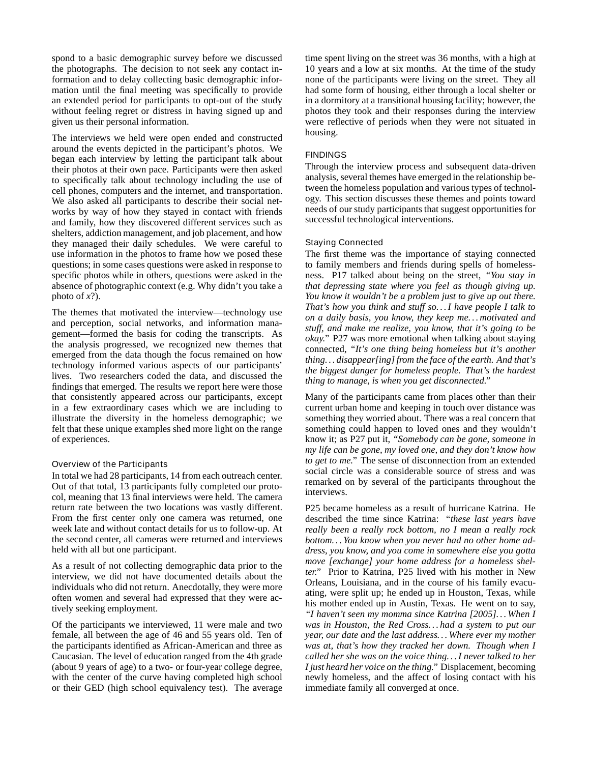spond to a basic demographic survey before we discussed the photographs. The decision to not seek any contact information and to delay collecting basic demographic information until the final meeting was specifically to provide an extended period for participants to opt-out of the study without feeling regret or distress in having signed up and given us their personal information.

The interviews we held were open ended and constructed around the events depicted in the participant's photos. We began each interview by letting the participant talk about their photos at their own pace. Participants were then asked to specifically talk about technology including the use of cell phones, computers and the internet, and transportation. We also asked all participants to describe their social networks by way of how they stayed in contact with friends and family, how they discovered different services such as shelters, addiction management, and job placement, and how they managed their daily schedules. We were careful to use information in the photos to frame how we posed these questions; in some cases questions were asked in response to specific photos while in others, questions were asked in the absence of photographic context (e.g. Why didn't you take a photo of  $x$ ?).

The themes that motivated the interview—technology use and perception, social networks, and information management—formed the basis for coding the transcripts. As the analysis progressed, we recognized new themes that emerged from the data though the focus remained on how technology informed various aspects of our participants' lives. Two researchers coded the data, and discussed the findings that emerged. The results we report here were those that consistently appeared across our participants, except in a few extraordinary cases which we are including to illustrate the diversity in the homeless demographic; we felt that these unique examples shed more light on the range of experiences.

## **Overview of the Participants**

In total we had 28 participants, 14 from each outreach center. Out of that total, 13 participants fully completed our protocol, meaning that 13 final interviews were held. The camera return rate between the two locations was vastly different. From the first center only one camera was returned, one week late and without contact details for us to follow-up. At the second center, all cameras were returned and interviews held with all but one participant.

As a result of not collecting demographic data prior to the interview, we did not have documented details about the individuals who did not return. Anecdotally, they were more often women and several had expressed that they were actively seeking employment.

Of the participants we interviewed, 11 were male and two female, all between the age of 46 and 55 years old. Ten of the participants identified as African-American and three as Caucasian. The level of education ranged from the 4th grade (about 9 years of age) to a two- or four-year college degree, with the center of the curve having completed high school or their GED (high school equivalency test). The average time spent living on the street was 36 months, with a high at 10 years and a low at six months. At the time of the study none of the participants were living on the street. They all had some form of housing, either through a local shelter or in a dormitory at a transitional housing facility; however, the photos they took and their responses during the interview were reflective of periods when they were not situated in housing.

## **FINDINGS**

Through the interview process and subsequent data-driven analysis, several themes have emerged in the relationship between the homeless population and various types of technology. This section discusses these themes and points toward needs of our study participants that suggest opportunities for successful technological interventions.

#### **Staying Connected**

The first theme was the importance of staying connected to family members and friends during spells of homelessness. P17 talked about being on the street, *"You stay in that depressing state where you feel as though giving up. You know it wouldn't be a problem just to give up out there. That's how you think and stuff so. . . I have people I talk to on a daily basis, you know, they keep me. . . motivated and stuff, and make me realize, you know, that it's going to be okay."* P27 was more emotional when talking about staying connected, *"It's one thing being homeless but it's another thing. . . disappear[ing] from the face of the earth. And that's the biggest danger for homeless people. That's the hardest thing to manage, is when you get disconnected."*

Many of the participants came from places other than their current urban home and keeping in touch over distance was something they worried about. There was a real concern that something could happen to loved ones and they wouldn't know it; as P27 put it, *"Somebody can be gone, someone in my life can be gone, my loved one, and they don't know how to get to me."* The sense of disconnection from an extended social circle was a considerable source of stress and was remarked on by several of the participants throughout the interviews.

P25 became homeless as a result of hurricane Katrina. He described the time since Katrina: *"these last years have really been a really rock bottom, no I mean a really rock bottom. . . You know when you never had no other home address, you know, and you come in somewhere else you gotta move [exchange] your home address for a homeless shelter."* Prior to Katrina, P25 lived with his mother in New Orleans, Louisiana, and in the course of his family evacuating, were split up; he ended up in Houston, Texas, while his mother ended up in Austin, Texas. He went on to say, *"I haven't seen my momma since Katrina [2005]. . . When I was in Houston, the Red Cross. . . had a system to put our year, our date and the last address. . . Where ever my mother was at, that's how they tracked her down. Though when I called her she was on the voice thing. . . I never talked to her I just heard her voice on the thing."* Displacement, becoming newly homeless, and the affect of losing contact with his immediate family all converged at once.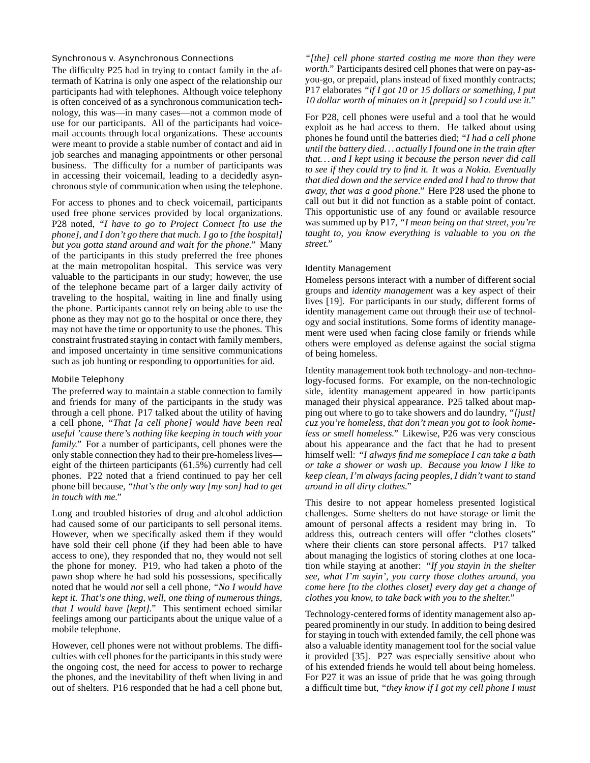# **Synchronous v. Asynchronous Connections**

The difficulty P25 had in trying to contact family in the aftermath of Katrina is only one aspect of the relationship our participants had with telephones. Although voice telephony is often conceived of as a synchronous communication technology, this was—in many cases—not a common mode of use for our participants. All of the participants had voicemail accounts through local organizations. These accounts were meant to provide a stable number of contact and aid in job searches and managing appointments or other personal business. The difficulty for a number of participants was in accessing their voicemail, leading to a decidedly asynchronous style of communication when using the telephone.

For access to phones and to check voicemail, participants used free phone services provided by local organizations. P28 noted, *"I have to go to Project Connect [to use the phone], and I don't go there that much. I go to [the hospital] but you gotta stand around and wait for the phone."* Many of the participants in this study preferred the free phones at the main metropolitan hospital. This service was very valuable to the participants in our study; however, the use of the telephone became part of a larger daily activity of traveling to the hospital, waiting in line and finally using the phone. Participants cannot rely on being able to use the phone as they may not go to the hospital or once there, they may not have the time or opportunity to use the phones. This constraint frustrated staying in contact with family members, and imposed uncertainty in time sensitive communications such as job hunting or responding to opportunities for aid.

# **Mobile Telephony**

The preferred way to maintain a stable connection to family and friends for many of the participants in the study was through a cell phone. P17 talked about the utility of having a cell phone, *"That [a cell phone] would have been real useful 'cause there's nothing like keeping in touch with your family."* For a number of participants, cell phones were the only stable connection they had to their pre-homeless lives eight of the thirteen participants (61.5%) currently had cell phones. P22 noted that a friend continued to pay her cell phone bill because, *"that's the only way [my son] had to get in touch with me."*

Long and troubled histories of drug and alcohol addiction had caused some of our participants to sell personal items. However, when we specifically asked them if they would have sold their cell phone (if they had been able to have access to one), they responded that no, they would not sell the phone for money. P19, who had taken a photo of the pawn shop where he had sold his possessions, specifically noted that he would *not* sell a cell phone, *"No I would have kept it. That's one thing, well, one thing of numerous things, that I would have [kept]."* This sentiment echoed similar feelings among our participants about the unique value of a mobile telephone.

However, cell phones were not without problems. The difficulties with cell phones for the participants in this study were the ongoing cost, the need for access to power to recharge the phones, and the inevitability of theft when living in and out of shelters. P16 responded that he had a cell phone but,

*"[the] cell phone started costing me more than they were worth."* Participants desired cell phones that were on pay-asyou-go, or prepaid, plans instead of fixed monthly contracts; P17 elaborates *"if I got 10 or 15 dollars or something, I put 10 dollar worth of minutes on it [prepaid] so I could use it."*

For P28, cell phones were useful and a tool that he would exploit as he had access to them. He talked about using phones he found until the batteries died; *"I had a cell phone until the battery died. . . actually I found one in the train after that. . . and I kept using it because the person never did call to see if they could try to find it. It was a Nokia. Eventually that died down and the service ended and I had to throw that away, that was a good phone."* Here P28 used the phone to call out but it did not function as a stable point of contact. This opportunistic use of any found or available resource was summed up by P17, *"I mean being on that street, you're taught to, you know everything is valuable to you on the street."*

#### **Identity Management**

Homeless persons interact with a number of different social groups and *identity management* was a key aspect of their lives [19]. For participants in our study, different forms of identity management came out through their use of technology and social institutions. Some forms of identity management were used when facing close family or friends while others were employed as defense against the social stigma of being homeless.

Identity management took both technology- and non-technology-focused forms. For example, on the non-technologic side, identity management appeared in how participants managed their physical appearance. P25 talked about mapping out where to go to take showers and do laundry, *"[just] cuz you're homeless, that don't mean you got to look homeless or smell homeless."* Likewise, P26 was very conscious about his appearance and the fact that he had to present himself well: *"I always find me someplace I can take a bath or take a shower or wash up. Because you know I like to keep clean, I'm always facing peoples, I didn't want to stand around in all dirty clothes."*

This desire to not appear homeless presented logistical challenges. Some shelters do not have storage or limit the amount of personal affects a resident may bring in. To address this, outreach centers will offer "clothes closets" where their clients can store personal affects. P17 talked about managing the logistics of storing clothes at one location while staying at another: *"If you stayin in the shelter see, what I'm sayin', you carry those clothes around, you come here [to the clothes closet] every day get a change of clothes you know, to take back with you to the shelter."*

Technology-centered forms of identity management also appeared prominently in our study. In addition to being desired for staying in touch with extended family, the cell phone was also a valuable identity management tool for the social value it provided [35]. P27 was especially sensitive about who of his extended friends he would tell about being homeless. For P27 it was an issue of pride that he was going through a difficult time but, *"they know if I got my cell phone I must*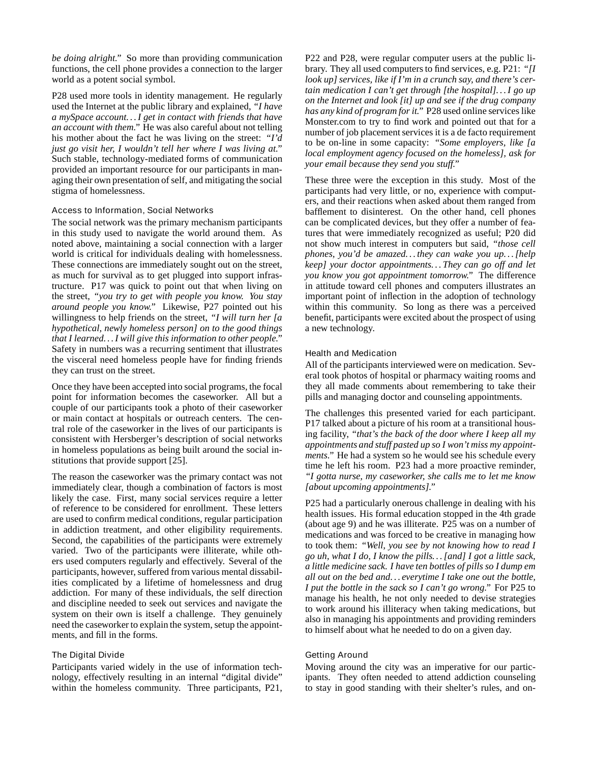*be doing alright."* So more than providing communication functions, the cell phone provides a connection to the larger world as a potent social symbol.

P28 used more tools in identity management. He regularly used the Internet at the public library and explained, *"I have a mySpace account. . . I get in contact with friends that have an account with them."* He was also careful about not telling his mother about the fact he was living on the street: *"I'd just go visit her, I wouldn't tell her where I was living at."* Such stable, technology-mediated forms of communication provided an important resource for our participants in managing their own presentation of self, and mitigating the social stigma of homelessness.

# **Access to Information, Social Networks**

The social network was the primary mechanism participants in this study used to navigate the world around them. As noted above, maintaining a social connection with a larger world is critical for individuals dealing with homelessness. These connections are immediately sought out on the street, as much for survival as to get plugged into support infrastructure. P17 was quick to point out that when living on the street, *"you try to get with people you know. You stay around people you know."* Likewise, P27 pointed out his willingness to help friends on the street, *"I will turn her [a hypothetical, newly homeless person] on to the good things that I learned. . . I will give this information to other people."* Safety in numbers was a recurring sentiment that illustrates the visceral need homeless people have for finding friends they can trust on the street.

Once they have been accepted into social programs, the focal point for information becomes the caseworker. All but a couple of our participants took a photo of their caseworker or main contact at hospitals or outreach centers. The central role of the caseworker in the lives of our participants is consistent with Hersberger's description of social networks in homeless populations as being built around the social institutions that provide support [25].

The reason the caseworker was the primary contact was not immediately clear, though a combination of factors is most likely the case. First, many social services require a letter of reference to be considered for enrollment. These letters are used to confirm medical conditions, regular participation in addiction treatment, and other eligibility requirements. Second, the capabilities of the participants were extremely varied. Two of the participants were illiterate, while others used computers regularly and effectively. Several of the participants, however, suffered from various mental dissabilities complicated by a lifetime of homelessness and drug addiction. For many of these individuals, the self direction and discipline needed to seek out services and navigate the system on their own is itself a challenge. They genuinely need the caseworker to explain the system, setup the appointments, and fill in the forms.

#### **The Digital Divide**

Participants varied widely in the use of information technology, effectively resulting in an internal "digital divide" within the homeless community. Three participants, P21, P22 and P28, were regular computer users at the public library. They all used computers to find services, e.g. P21: *"[I look up] services, like if I'm in a crunch say, and there's certain medication I can't get through [the hospital]. . . I go up on the Internet and look [it] up and see if the drug company has any kind of program for it."* P28 used online services like Monster.com to try to find work and pointed out that for a number of job placement services it is a de facto requirement to be on-line in some capacity: *"Some employers, like [a local employment agency focused on the homeless], ask for your email because they send you stuff."*

These three were the exception in this study. Most of the participants had very little, or no, experience with computers, and their reactions when asked about them ranged from bafflement to disinterest. On the other hand, cell phones can be complicated devices, but they offer a number of features that were immediately recognized as useful; P20 did not show much interest in computers but said, *"those cell phones, you'd be amazed. . . they can wake you up. . . [help keep] your doctor appointments. . . They can go off and let you know you got appointment tomorrow."* The difference in attitude toward cell phones and computers illustrates an important point of inflection in the adoption of technology within this community. So long as there was a perceived benefit, participants were excited about the prospect of using a new technology.

#### **Health and Medication**

All of the participants interviewed were on medication. Several took photos of hospital or pharmacy waiting rooms and they all made comments about remembering to take their pills and managing doctor and counseling appointments.

The challenges this presented varied for each participant. P17 talked about a picture of his room at a transitional housing facility, *"that's the back of the door where I keep all my appointments and stuff pasted up so I won't miss my appointments.*" He had a system so he would see his schedule every time he left his room. P23 had a more proactive reminder, *"I gotta nurse, my caseworker, she calls me to let me know [about upcoming appointments]."*

P25 had a particularly onerous challenge in dealing with his health issues. His formal education stopped in the 4th grade (about age 9) and he was illiterate. P25 was on a number of medications and was forced to be creative in managing how to took them: *"Well, you see by not knowing how to read I go uh, what I do, I know the pills...[and] I got a little sack, a little medicine sack. I have ten bottles of pills so I dump em all out on the bed and. . . everytime I take one out the bottle, I put the bottle in the sack so I can't go wrong."* For P25 to manage his health, he not only needed to devise strategies to work around his illiteracy when taking medications, but also in managing his appointments and providing reminders to himself about what he needed to do on a given day.

#### **Getting Around**

Moving around the city was an imperative for our participants. They often needed to attend addiction counseling to stay in good standing with their shelter's rules, and on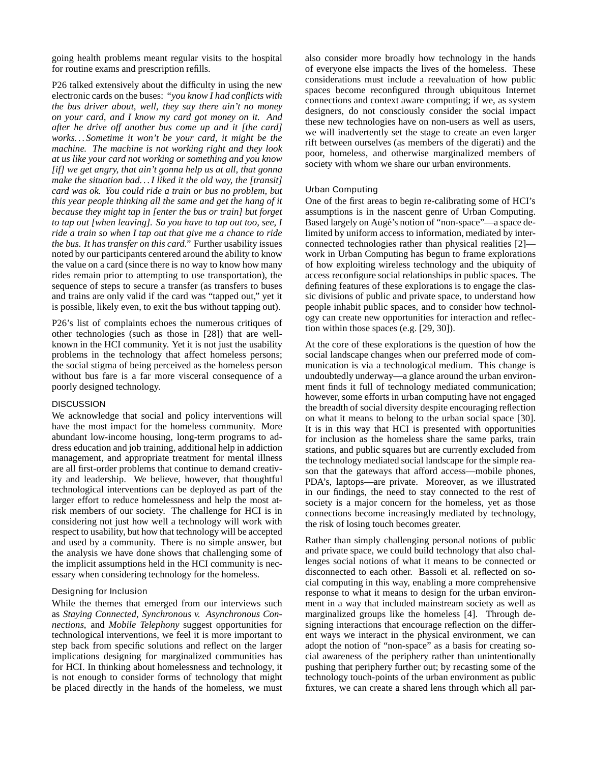going health problems meant regular visits to the hospital for routine exams and prescription refills.

P26 talked extensively about the difficulty in using the new electronic cards on the buses: *"you know I had conflicts with the bus driver about, well, they say there ain't no money on your card, and I know my card got money on it. And after he drive off another bus come up and it [the card] works. . . Sometime it won't be your card, it might be the machine. The machine is not working right and they look at us like your card not working or something and you know [if] we get angry, that ain't gonna help us at all, that gonna make the situation bad. . . I liked it the old way, the [transit] card was ok. You could ride a train or bus no problem, but this year people thinking all the same and get the hang of it because they might tap in [enter the bus or train] but forget to tap out [when leaving]. So you have to tap out too, see, I ride a train so when I tap out that give me a chance to ride the bus. It has transfer on this card."* Further usability issues noted by our participants centered around the ability to know the value on a card (since there is no way to know how many rides remain prior to attempting to use transportation), the sequence of steps to secure a transfer (as transfers to buses and trains are only valid if the card was "tapped out," yet it is possible, likely even, to exit the bus without tapping out).

P26's list of complaints echoes the numerous critiques of other technologies (such as those in [28]) that are wellknown in the HCI community. Yet it is not just the usability problems in the technology that affect homeless persons; the social stigma of being perceived as the homeless person without bus fare is a far more visceral consequence of a poorly designed technology.

#### **DISCUSSION**

We acknowledge that social and policy interventions will have the most impact for the homeless community. More abundant low-income housing, long-term programs to address education and job training, additional help in addiction management, and appropriate treatment for mental illness are all first-order problems that continue to demand creativity and leadership. We believe, however, that thoughtful technological interventions can be deployed as part of the larger effort to reduce homelessness and help the most atrisk members of our society. The challenge for HCI is in considering not just how well a technology will work with respect to usability, but how that technology will be accepted and used by a community. There is no simple answer, but the analysis we have done shows that challenging some of the implicit assumptions held in the HCI community is necessary when considering technology for the homeless.

#### **Designing for Inclusion**

While the themes that emerged from our interviews such as *Staying Connected*, *Synchronous v. Asynchronous Connections*, and *Mobile Telephony* suggest opportunities for technological interventions, we feel it is more important to step back from specific solutions and reflect on the larger implications designing for marginalized communities has for HCI. In thinking about homelessness and technology, it is not enough to consider forms of technology that might be placed directly in the hands of the homeless, we must also consider more broadly how technology in the hands of everyone else impacts the lives of the homeless. These considerations must include a reevaluation of how public spaces become reconfigured through ubiquitous Internet connections and context aware computing; if we, as system designers, do not consciously consider the social impact these new technologies have on non-users as well as users, we will inadvertently set the stage to create an even larger rift between ourselves (as members of the digerati) and the poor, homeless, and otherwise marginalized members of society with whom we share our urban environments.

# **Urban Computing**

One of the first areas to begin re-calibrating some of HCI's assumptions is in the nascent genre of Urban Computing. Based largely on Augé's notion of "non-space"—a space delimited by uniform access to information, mediated by interconnected technologies rather than physical realities [2] work in Urban Computing has begun to frame explorations of how exploiting wireless technology and the ubiquity of access reconfigure social relationships in public spaces. The defining features of these explorations is to engage the classic divisions of public and private space, to understand how people inhabit public spaces, and to consider how technology can create new opportunities for interaction and reflection within those spaces (e.g. [29, 30]).

At the core of these explorations is the question of how the social landscape changes when our preferred mode of communication is via a technological medium. This change is undoubtedly underway—a glance around the urban environment finds it full of technology mediated communication; however, some efforts in urban computing have not engaged the breadth of social diversity despite encouraging reflection on what it means to belong to the urban social space [30]. It is in this way that HCI is presented with opportunities for inclusion as the homeless share the same parks, train stations, and public squares but are currently excluded from the technology mediated social landscape for the simple reason that the gateways that afford access—mobile phones, PDA's, laptops—are private. Moreover, as we illustrated in our findings, the need to stay connected to the rest of society is a major concern for the homeless, yet as those connections become increasingly mediated by technology, the risk of losing touch becomes greater.

Rather than simply challenging personal notions of public and private space, we could build technology that also challenges social notions of what it means to be connected or disconnected to each other. Bassoli et al. reflected on social computing in this way, enabling a more comprehensive response to what it means to design for the urban environment in a way that included mainstream society as well as marginalized groups like the homeless [4]. Through designing interactions that encourage reflection on the different ways we interact in the physical environment, we can adopt the notion of "non-space" as a basis for creating social awareness of the periphery rather than unintentionally pushing that periphery further out; by recasting some of the technology touch-points of the urban environment as public fixtures, we can create a shared lens through which all par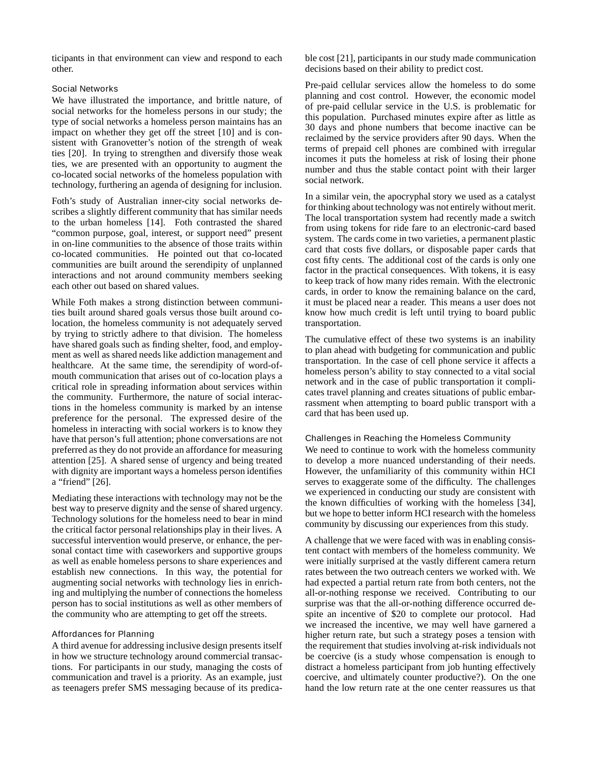ticipants in that environment can view and respond to each other.

# **Social Networks**

We have illustrated the importance, and brittle nature, of social networks for the homeless persons in our study; the type of social networks a homeless person maintains has an impact on whether they get off the street [10] and is consistent with Granovetter's notion of the strength of weak ties [20]. In trying to strengthen and diversify those weak ties, we are presented with an opportunity to augment the co-located social networks of the homeless population with technology, furthering an agenda of designing for inclusion.

Foth's study of Australian inner-city social networks describes a slightly different community that has similar needs to the urban homeless [14]. Foth contrasted the shared "common purpose, goal, interest, or support need" present in on-line communities to the absence of those traits within co-located communities. He pointed out that co-located communities are built around the serendipity of unplanned interactions and not around community members seeking each other out based on shared values.

While Foth makes a strong distinction between communities built around shared goals versus those built around colocation, the homeless community is not adequately served by trying to strictly adhere to that division. The homeless have shared goals such as finding shelter, food, and employment as well as shared needs like addiction management and healthcare. At the same time, the serendipity of word-ofmouth communication that arises out of co-location plays a critical role in spreading information about services within the community. Furthermore, the nature of social interactions in the homeless community is marked by an intense preference for the personal. The expressed desire of the homeless in interacting with social workers is to know they have that person's full attention; phone conversations are not preferred as they do not provide an affordance for measuring attention [25]. A shared sense of urgency and being treated with dignity are important ways a homeless person identifies a "friend" [26].

Mediating these interactions with technology may not be the best way to preserve dignity and the sense of shared urgency. Technology solutions for the homeless need to bear in mind the critical factor personal relationships play in their lives. A successful intervention would preserve, or enhance, the personal contact time with caseworkers and supportive groups as well as enable homeless persons to share experiences and establish new connections. In this way, the potential for augmenting social networks with technology lies in enriching and multiplying the number of connections the homeless person has to social institutions as well as other members of the community who are attempting to get off the streets.

# **Affordances for Planning**

A third avenue for addressing inclusive design presents itself in how we structure technology around commercial transactions. For participants in our study, managing the costs of communication and travel is a priority. As an example, just as teenagers prefer SMS messaging because of its predicable cost [21], participants in our study made communication decisions based on their ability to predict cost.

Pre-paid cellular services allow the homeless to do some planning and cost control. However, the economic model of pre-paid cellular service in the U.S. is problematic for this population. Purchased minutes expire after as little as 30 days and phone numbers that become inactive can be reclaimed by the service providers after 90 days. When the terms of prepaid cell phones are combined with irregular incomes it puts the homeless at risk of losing their phone number and thus the stable contact point with their larger social network.

In a similar vein, the apocryphal story we used as a catalyst for thinking about technology was not entirely without merit. The local transportation system had recently made a switch from using tokens for ride fare to an electronic-card based system. The cards come in two varieties, a permanent plastic card that costs five dollars, or disposable paper cards that cost fifty cents. The additional cost of the cards is only one factor in the practical consequences. With tokens, it is easy to keep track of how many rides remain. With the electronic cards, in order to know the remaining balance on the card, it must be placed near a reader. This means a user does not know how much credit is left until trying to board public transportation.

The cumulative effect of these two systems is an inability to plan ahead with budgeting for communication and public transportation. In the case of cell phone service it affects a homeless person's ability to stay connected to a vital social network and in the case of public transportation it complicates travel planning and creates situations of public embarrassment when attempting to board public transport with a card that has been used up.

# **Challenges in Reaching the Homeless Community**

We need to continue to work with the homeless community to develop a more nuanced understanding of their needs. However, the unfamiliarity of this community within HCI serves to exaggerate some of the difficulty. The challenges we experienced in conducting our study are consistent with the known difficulties of working with the homeless [34], but we hope to better inform HCI research with the homeless community by discussing our experiences from this study.

A challenge that we were faced with was in enabling consistent contact with members of the homeless community. We were initially surprised at the vastly different camera return rates between the two outreach centers we worked with. We had expected a partial return rate from both centers, not the all-or-nothing response we received. Contributing to our surprise was that the all-or-nothing difference occurred despite an incentive of \$20 to complete our protocol. Had we increased the incentive, we may well have garnered a higher return rate, but such a strategy poses a tension with the requirement that studies involving at-risk individuals not be coercive (is a study whose compensation is enough to distract a homeless participant from job hunting effectively coercive, and ultimately counter productive?). On the one hand the low return rate at the one center reassures us that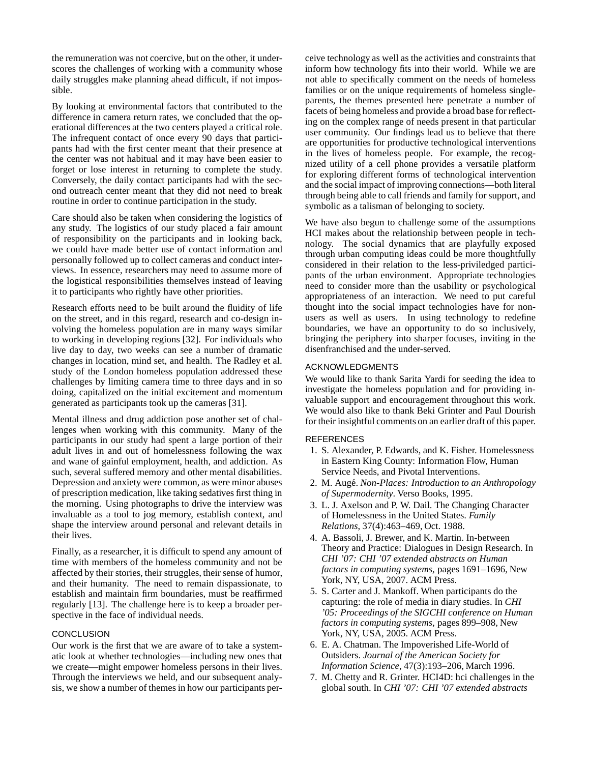the remuneration was not coercive, but on the other, it underscores the challenges of working with a community whose daily struggles make planning ahead difficult, if not impossible.

By looking at environmental factors that contributed to the difference in camera return rates, we concluded that the operational differences at the two centers played a critical role. The infrequent contact of once every 90 days that participants had with the first center meant that their presence at the center was not habitual and it may have been easier to forget or lose interest in returning to complete the study. Conversely, the daily contact participants had with the second outreach center meant that they did not need to break routine in order to continue participation in the study.

Care should also be taken when considering the logistics of any study. The logistics of our study placed a fair amount of responsibility on the participants and in looking back, we could have made better use of contact information and personally followed up to collect cameras and conduct interviews. In essence, researchers may need to assume more of the logistical responsibilities themselves instead of leaving it to participants who rightly have other priorities.

Research efforts need to be built around the fluidity of life on the street, and in this regard, research and co-design involving the homeless population are in many ways similar to working in developing regions [32]. For individuals who live day to day, two weeks can see a number of dramatic changes in location, mind set, and health. The Radley et al. study of the London homeless population addressed these challenges by limiting camera time to three days and in so doing, capitalized on the initial excitement and momentum generated as participants took up the cameras [31].

Mental illness and drug addiction pose another set of challenges when working with this community. Many of the participants in our study had spent a large portion of their adult lives in and out of homelessness following the wax and wane of gainful employment, health, and addiction. As such, several suffered memory and other mental disabilities. Depression and anxiety were common, as were minor abuses of prescription medication, like taking sedatives first thing in the morning. Using photographs to drive the interview was invaluable as a tool to jog memory, establish context, and shape the interview around personal and relevant details in their lives.

Finally, as a researcher, it is difficult to spend any amount of time with members of the homeless community and not be affected by their stories, their struggles, their sense of humor, and their humanity. The need to remain dispassionate, to establish and maintain firm boundaries, must be reaffirmed regularly [13]. The challenge here is to keep a broader perspective in the face of individual needs.

# **CONCLUSION**

Our work is the first that we are aware of to take a systematic look at whether technologies—including new ones that we create—might empower homeless persons in their lives. Through the interviews we held, and our subsequent analysis, we show a number of themes in how our participants perceive technology as well as the activities and constraints that inform how technology fits into their world. While we are not able to specifically comment on the needs of homeless families or on the unique requirements of homeless singleparents, the themes presented here penetrate a number of facets of being homeless and provide a broad base for reflecting on the complex range of needs present in that particular user community. Our findings lead us to believe that there are opportunities for productive technological interventions in the lives of homeless people. For example, the recognized utility of a cell phone provides a versatile platform for exploring different forms of technological intervention and the social impact of improving connections—both literal through being able to call friends and family for support, and symbolic as a talisman of belonging to society.

We have also begun to challenge some of the assumptions HCI makes about the relationship between people in technology. The social dynamics that are playfully exposed through urban computing ideas could be more thoughtfully considered in their relation to the less-priviledged participants of the urban environment. Appropriate technologies need to consider more than the usability or psychological appropriateness of an interaction. We need to put careful thought into the social impact technologies have for nonusers as well as users. In using technology to redefine boundaries, we have an opportunity to do so inclusively, bringing the periphery into sharper focuses, inviting in the disenfranchised and the under-served.

# **ACKNOWLEDGMENTS**

We would like to thank Sarita Yardi for seeding the idea to investigate the homeless population and for providing invaluable support and encouragement throughout this work. We would also like to thank Beki Grinter and Paul Dourish for their insightful comments on an earlier draft of this paper.

#### **REFERENCES**

- 1. S. Alexander, P. Edwards, and K. Fisher. Homelessness in Eastern King County: Information Flow, Human Service Needs, and Pivotal Interventions.
- 2. M. Augé. *Non-Places: Introduction to an Anthropology of Supermodernity*. Verso Books, 1995.
- 3. L. J. Axelson and P. W. Dail. The Changing Character of Homelessness in the United States. *Family Relations*, 37(4):463–469, Oct. 1988.
- 4. A. Bassoli, J. Brewer, and K. Martin. In-between Theory and Practice: Dialogues in Design Research. In *CHI '07: CHI '07 extended abstracts on Human factors in computing systems*, pages 1691–1696, New York, NY, USA, 2007. ACM Press.
- 5. S. Carter and J. Mankoff. When participants do the capturing: the role of media in diary studies. In *CHI '05: Proceedings of the SIGCHI conference on Human factors in computing systems*, pages 899–908, New York, NY, USA, 2005. ACM Press.
- 6. E. A. Chatman. The Impoverished Life-World of Outsiders. *Journal of the American Society for Information Science*, 47(3):193–206, March 1996.
- 7. M. Chetty and R. Grinter. HCI4D: hci challenges in the global south. In *CHI '07: CHI '07 extended abstracts*